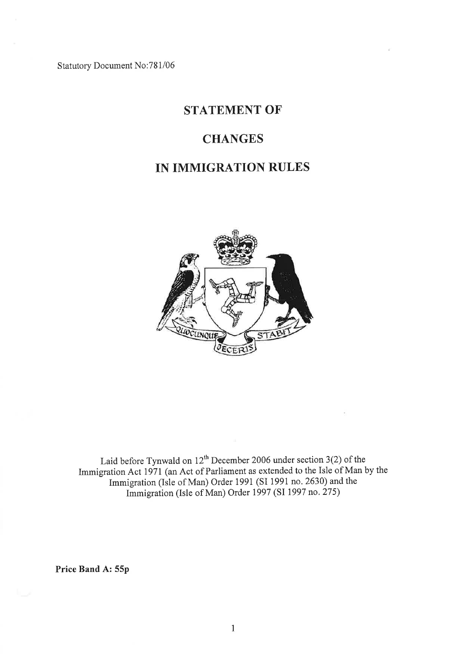Statutory Document No: 781/06

# STATEMENT OF

### **CHANGES**

# IN IMMIGRATION RULES



Laid before Tynwald on  $12^{\text{th}}$  December 2006 under section 3(2) of the Immigration Act 1971 (an Act of Parliament as extended to the Isle of Man by the Immigration (Isle of Man) Order 1991 (SI 1991 no. 2630) and the Immigration (Isle of Man) Order 1997 (SI 1997 no.275)

Price Band A: 55p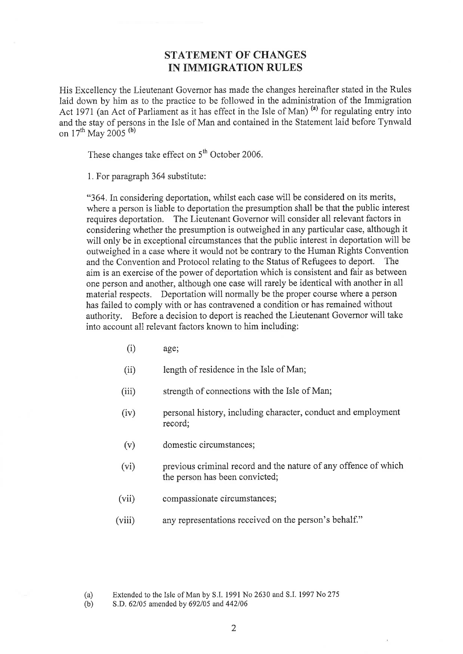#### STATEMENT OF CHANGES IN IMMIGRATION RULES

His Excellency the Lieutenant Governor has made the changes hereinafter stated in the Rules laid down by him as to the practice to be followed in the administration of the Immigration Act 1971 (an Act of Parliament as it has effect in the Isle of Man)<sup>(a)</sup> for regulating entry into and the stay of persons in the Isle of Man and contained in the Statement laid before Tynwald on 17<sup>th</sup> May 2005<sup>(b)</sup>

These changes take effect on  $5<sup>th</sup>$  October 2006.

1. For paragraph 364 substitute:

"364. In considering deportation, whilst each case will be considered on its merits, where a person is liable to deportation the presumption shall be that the public interest requires deportation. The Lieutenant Governor will consider all relevant factors in considering whether the presumption is outweighed in any particular case, although it will only be in exceptional circumstances that the public interest in deportation will be outweighed in a case where it would not be contrary to the Human Rights Convention and the Convention and Protocol relating to the Status of Refugees to deport. The aim is an exercise of the power of deportation which is consistent and fair as between one person and another, although one case will rarely be identical with another in all material respects. Deportation will normally be the proper course where a person has failed to comply with or has contravened a condition or has remained without authority. Before a decision to deport is reached the Lieutenant Governor will take into account all relevant factors known to him including:

- (i) age;
- (ii) length of residence in the Isle of Man;
- $(iii)$ strength of connections with the Isle of Man;
- (iv) personal history, including character, conduct and employment record;
- domestic circumstances; (v)
- previous criminal record and the nature of any offence of which the person has been convicted; (vi)
- compassionate circumstances;  $(vii)$
- any representations received on the person's behalf." (viii)

(b) S,D, 62/05 amended by 692/05 and 442/06

<sup>(</sup>a) Extended to the Isle of Man by S,I. 1991 No 2630 and S.I. 1997 No 275